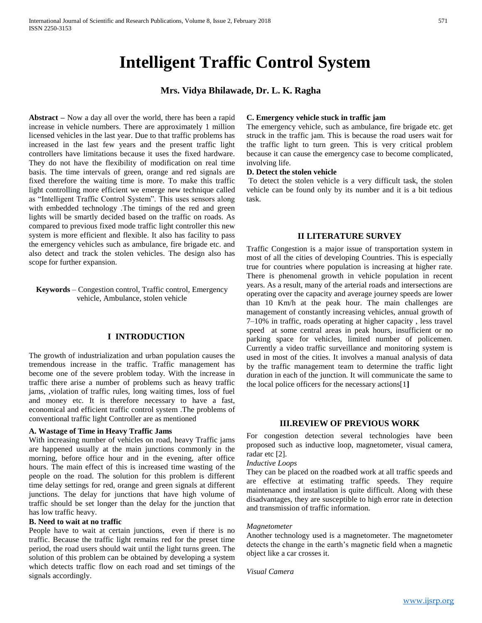# **Intelligent Traffic Control System**

# **Mrs. Vidya Bhilawade, Dr. L. K. Ragha**

**Abstract –** Now a day all over the world, there has been a rapid increase in vehicle numbers. There are approximately 1 million licensed vehicles in the last year. Due to that traffic problems has increased in the last few years and the present traffic light controllers have limitations because it uses the fixed hardware. They do not have the flexibility of modification on real time basis. The time intervals of green, orange and red signals are fixed therefore the waiting time is more. To make this traffic light controlling more efficient we emerge new technique called as "Intelligent Traffic Control System". This uses sensors along with embedded technology .The timings of the red and green lights will be smartly decided based on the traffic on roads. As compared to previous fixed mode traffic light controller this new system is more efficient and flexible. It also has facility to pass the emergency vehicles such as ambulance, fire brigade etc. and also detect and track the stolen vehicles. The design also has scope for further expansion.

**Keywords** – Congestion control, Traffic control, Emergency vehicle, Ambulance, stolen vehicle

# **I INTRODUCTION**

The growth of industrialization and urban population causes the tremendous increase in the traffic. Traffic management has become one of the severe problem today. With the increase in traffic there arise a number of problems such as heavy traffic jams, ,violation of traffic rules, long waiting times, loss of fuel and money etc. It is therefore necessary to have a fast, economical and efficient traffic control system .The problems of conventional traffic light Controller are as mentioned

#### **A. Wastage of Time in Heavy Traffic Jams**

With increasing number of vehicles on road, heavy Traffic jams are happened usually at the main junctions commonly in the morning, before office hour and in the evening, after office hours. The main effect of this is increased time wasting of the people on the road. The solution for this problem is different time delay settings for red, orange and green signals at different junctions. The delay for junctions that have high volume of traffic should be set longer than the delay for the junction that has low traffic heavy.

#### **B. Need to wait at no traffic**

People have to wait at certain junctions, even if there is no traffic. Because the traffic light remains red for the preset time period, the road users should wait until the light turns green. The solution of this problem can be obtained by developing a system which detects traffic flow on each road and set timings of the signals accordingly.

## **C. Emergency vehicle stuck in traffic jam**

The emergency vehicle, such as ambulance, fire brigade etc. get struck in the traffic jam. This is because the road users wait for the traffic light to turn green. This is very critical problem because it can cause the emergency case to become complicated, involving life.

#### **D. Detect the stolen vehicle**

To detect the stolen vehicle is a very difficult task, the stolen vehicle can be found only by its number and it is a bit tedious task.

## **II LITERATURE SURVEY**

Traffic Congestion is a major issue of transportation system in most of all the cities of developing Countries. This is especially true for countries where population is increasing at higher rate. There is phenomenal growth in vehicle population in recent years. As a result, many of the arterial roads and intersections are operating over the capacity and average journey speeds are lower than 10 Km/h at the peak hour. The main challenges are management of constantly increasing vehicles, annual growth of 7–10% in traffic, roads operating at higher capacity , less travel speed at some central areas in peak hours, insufficient or no parking space for vehicles, limited number of policemen. Currently a video traffic surveillance and monitoring system is used in most of the cities. It involves a manual analysis of data by the traffic management team to determine the traffic light duration in each of the junction. It will communicate the same to the local police officers for the necessary actions[1**]**

# **III.REVIEW OF PREVIOUS WORK**

For congestion detection several technologies have been proposed such as inductive loop, magnetometer, visual camera, radar etc [2].

*Inductive Loops*

They can be placed on the roadbed work at all traffic speeds and are effective at estimating traffic speeds. They require maintenance and installation is quite difficult. Along with these disadvantages, they are susceptible to high error rate in detection and transmission of traffic information.

#### *Magnetometer*

Another technology used is a magnetometer. The magnetometer detects the change in the earth's magnetic field when a magnetic object like a car crosses it.

*Visual Camera*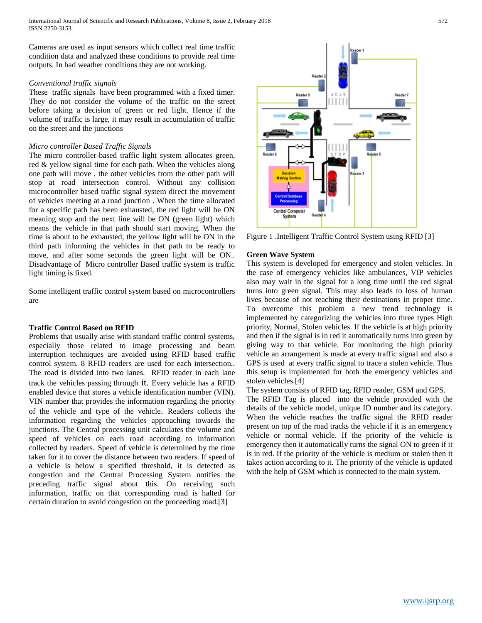Cameras are used as input sensors which collect real time traffic condition data and analyzed these conditions to provide real time outputs. In bad weather conditions they are not working.

#### *Conventional traffic signals*

These traffic signals have been programmed with a fixed timer. They do not consider the volume of the traffic on the street before taking a decision of green or red light. Hence if the volume of traffic is large, it may result in accumulation of traffic on the street and the junctions

## *Micro controller Based Traffic Signals*

The micro controller-based traffic light system allocates green, red & yellow signal time for each path. When the vehicles along one path will move , the other vehicles from the other path will stop at road intersection control. Without any collision microcontroller based traffic signal system direct the movement of vehicles meeting at a road junction . When the time allocated for a specific path has been exhausted, the red light will be ON meaning stop and the next line will be ON (green light) which means the vehicle in that path should start moving. When the time is about to be exhausted, the yellow light will be ON in the third path informing the vehicles in that path to be ready to move, and after some seconds the green light will be ON.. Disadvantage of Micro controller Based traffic system is traffic light timing is fixed.

Some intelligent traffic control system based on microcontrollers are

#### **Traffic Control Based on RFID**

Problems that usually arise with standard traffic control systems, especially those related to image processing and beam interruption techniques are avoided using RFID based traffic control system. 8 RFID readers are used for each intersection.. The road is divided into two lanes. RFID reader in each lane track the vehicles passing through it. Every vehicle has a RFID enabled device that stores a vehicle identification number (VIN). VIN number that provides the information regarding the priority of the vehicle and type of the vehicle. Readers collects the information regarding the vehicles approaching towards the junctions. The Central processing unit calculates the volume and speed of vehicles on each road according to information collected by readers. Speed of vehicle is determined by the time taken for it to cover the distance between two readers. If speed of a vehicle is below a specified threshold, it is detected as congestion and the Central Processing System notifies the preceding traffic signal about this. On receiving such information, traffic on that corresponding road is halted for certain duration to avoid congestion on the proceeding road.[3]



Figure 1 .Intelligent Traffic Control System using RFID [3]

# **Green Wave System**

This system is developed for emergency and stolen vehicles. In the case of emergency vehicles like ambulances, VIP vehicles also may wait in the signal for a long time until the red signal turns into green signal. This may also leads to loss of human lives because of not reaching their destinations in proper time. To overcome this problem a new trend technology is implemented by categorizing the vehicles into three types High priority, Normal, Stolen vehicles. If the vehicle is at high priority and then if the signal is in red it automatically turns into green by giving way to that vehicle. For monitoring the high priority vehicle an arrangement is made at every traffic signal and also a GPS is used at every traffic signal to trace a stolen vehicle. Thus this setup is implemented for both the emergency vehicles and stolen vehicles.[4]

The system consists of RFID tag, RFID reader, GSM and GPS. The RFID Tag is placed into the vehicle provided with the details of the vehicle model, unique ID number and its category. When the vehicle reaches the traffic signal the RFID reader present on top of the road tracks the vehicle if it is an emergency vehicle or normal vehicle. If the priority of the vehicle is emergency then it automatically turns the signal ON to green if it is in red. If the priority of the vehicle is medium or stolen then it takes action according to it. The priority of the vehicle is updated with the help of GSM which is connected to the main system.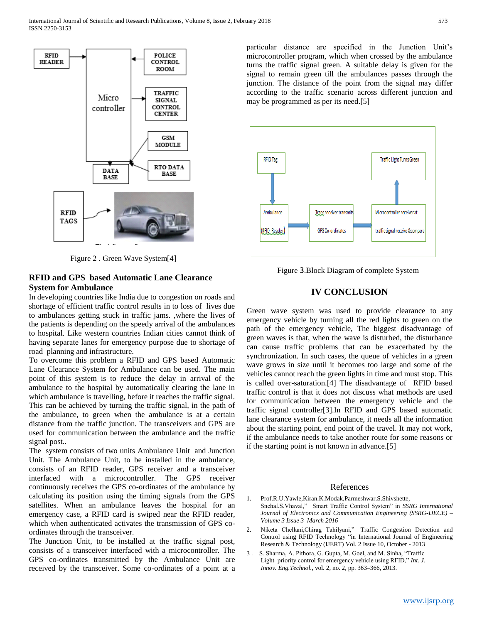

Figure 2 . Green Wave System[4]

# **RFID and GPS based Automatic Lane Clearance System for Ambulance**

In developing countries like India due to congestion on roads and shortage of efficient traffic control results in to loss of lives due to ambulances getting stuck in traffic jams. ,where the lives of the patients is depending on the speedy arrival of the ambulances to hospital. Like western countries Indian cities cannot think of having separate lanes for emergency purpose due to shortage of road planning and infrastructure.

To overcome this problem a RFID and GPS based Automatic Lane Clearance System for Ambulance can be used. The main point of this system is to reduce the delay in arrival of the ambulance to the hospital by automatically clearing the lane in which ambulance is travelling, before it reaches the traffic signal. This can be achieved by turning the traffic signal, in the path of the ambulance, to green when the ambulance is at a certain distance from the traffic junction. The transceivers and GPS are used for communication between the ambulance and the traffic signal post..

The system consists of two units Ambulance Unit and Junction Unit. The Ambulance Unit, to be installed in the ambulance, consists of an RFID reader, GPS receiver and a transceiver interfaced with a microcontroller. The GPS receiver continuously receives the GPS co-ordinates of the ambulance by calculating its position using the timing signals from the GPS satellites. When an ambulance leaves the hospital for an emergency case, a RFID card is swiped near the RFID reader, which when authenticated activates the transmission of GPS coordinates through the transceiver.

The Junction Unit, to be installed at the traffic signal post, consists of a transceiver interfaced with a microcontroller. The GPS co-ordinates transmitted by the Ambulance Unit are received by the transceiver. Some co-ordinates of a point at a particular distance are specified in the Junction Unit's microcontroller program, which when crossed by the ambulance turns the traffic signal green. A suitable delay is given for the signal to remain green till the ambulances passes through the junction. The distance of the point from the signal may differ according to the traffic scenario across different junction and may be programmed as per its need.[5]



Figure 3.Block Diagram of complete System

# **IV CONCLUSION**

Green wave system was used to provide clearance to any emergency vehicle by turning all the red lights to green on the path of the emergency vehicle, The biggest disadvantage of green waves is that, when the wave is disturbed, the disturbance can cause traffic problems that can be exacerbated by the synchronization. In such cases, the queue of vehicles in a green wave grows in size until it becomes too large and some of the vehicles cannot reach the green lights in time and must stop. This is called over-saturation.[4] The disadvantage of RFID based traffic control is that it does not discuss what methods are used for communication between the emergency vehicle and the traffic signal controller[3].In RFID and GPS based automatic lane clearance system for ambulance, it needs all the information about the starting point, end point of the travel. It may not work, if the ambulance needs to take another route for some reasons or if the starting point is not known in advance.[5]

# References

- 1. Prof.R.U.Yawle,Kiran.K.Modak,Parmeshwar.S.Shivshette, Snehal.S.Vhaval," Smart Traffic Control System" in *SSRG International Journal of Electronics and Communication Engineering (SSRG-IJECE) – Volume 3 Issue 3–March 2016*
- 2. Niketa Chellani,Chirag Tahilyani," Traffic Congestion Detection and Control using RFID Technology "in International Journal of Engineering Research & Technology (IJERT) Vol. 2 Issue 10, October - 2013
- 3 . S. Sharma, A. Pithora, G. Gupta, M. Goel, and M. Sinha, "Traffic Light priority control for emergency vehicle using RFID," *Int. J. Innov. Eng.Technol.*, vol. 2, no. 2, pp. 363–366, 2013.